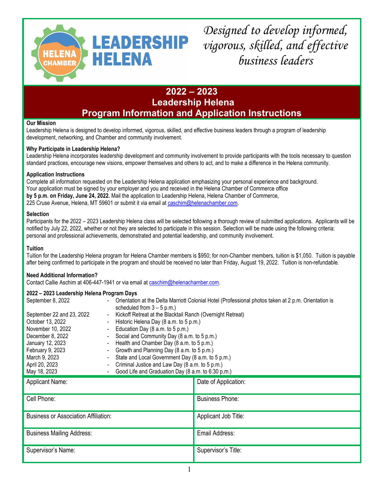

*Designed to develop informed, vigorous, skilled, and effective business leaders*

### **2022 – 2023 Leadership Helena Program Information and Application Instructions**

#### **Our Mission**

Leadership Helena is designed to develop informed, vigorous, skilled, and effective business leaders through a program of leadership development, networking, and Chamber and community involvement.

#### **Why Participate in Leadership Helena?**

Leadership Helena incorporates leadership development and community involvement to provide participants with the tools necessary to question standard practices, encourage new visions, empower themselves and others to act, and to make a difference in the Helena community.

#### **Application Instructions**

Complete all information requested on the Leadership Helena application emphasizing your personal experience and background. Your application must be signed by your employer and you and received in the Helena Chamber of Commerce office **by 5 p.m. on Friday, June 24, 2022.** Mail the application to Leadership Helena, Helena Chamber of Commerce, 225 Cruse Avenue, Helena, MT 59601 or submit it via email at [caschim@helenachamber.com.](mailto:caschim@helenachamber.com)

#### **Selection**

Participants for the 2022 – 2023 Leadership Helena class will be selected following a thorough review of submitted applications. Applicants will be notified by July 22, 2022, whether or not they are selected to participate in this session. Selection will be made using the following criteria: personal and professional achievements, demonstrated and potential leadership, and community involvement.

#### **Tuition**

Tuition for the Leadership Helena program for Helena Chamber members is \$950; for non-Chamber members, tuition is \$1,050. Tuition is payable after being confirmed to participate in the program and should be received no later than Friday, August 19, 2022. Tuition is non-refundable.

#### **Need Additional Information?**

Contact Callie Aschim at 406-447-1941 or via email at [caschim@helenachamber.com.](mailto:cashim@helenachamber.com)

| 2022 - 2023 Leadership Helena Program Days  |                                                                                                                                      |                                                   |  |
|---------------------------------------------|--------------------------------------------------------------------------------------------------------------------------------------|---------------------------------------------------|--|
| September 8, 2022                           | Orientation at the Delta Marriott Colonial Hotel (Professional photos taken at 2 p.m. Orientation is<br>scheduled from $3 - 5$ p.m.) |                                                   |  |
| September 22 and 23, 2022                   | Kickoff Retreat at the Blacktail Ranch (Overnight Retreat)                                                                           |                                                   |  |
| October 13, 2022                            | Historic Helena Day (8 a.m. to 5 p.m.)                                                                                               |                                                   |  |
| November 10, 2022                           | Education Day (8 a.m. to 5 p.m.)                                                                                                     |                                                   |  |
| December 8, 2022                            | Social and Community Day (8 a.m. to 5 p.m.)                                                                                          |                                                   |  |
| January 12, 2023                            | Health and Chamber Day (8 a.m. to 5 p.m.)                                                                                            |                                                   |  |
| February 9, 2023                            | Growth and Planning Day (8 a.m. to 5 p.m.)                                                                                           |                                                   |  |
| March 9, 2023                               | $\blacksquare$                                                                                                                       | State and Local Government Day (8 a.m. to 5 p.m.) |  |
| April 20, 2023                              | Criminal Justice and Law Day (8 a.m. to 5 p.m.)                                                                                      |                                                   |  |
| May 18, 2023                                | Good Life and Graduation Day (8 a.m. to 6:30 p.m.)                                                                                   |                                                   |  |
| <b>Applicant Name:</b>                      |                                                                                                                                      | Date of Application:                              |  |
| Cell Phone:                                 |                                                                                                                                      | <b>Business Phone:</b>                            |  |
| <b>Business or Association Affiliation:</b> |                                                                                                                                      | Applicant Job Title:                              |  |
| <b>Business Mailing Address:</b>            |                                                                                                                                      | Email Address:                                    |  |
| Supervisor's Name:                          |                                                                                                                                      | Supervisor's Title:                               |  |